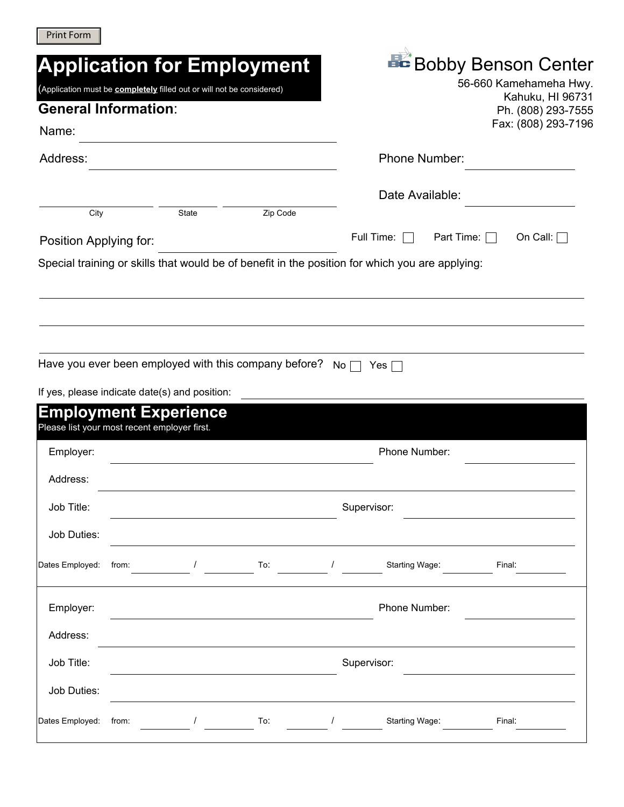| <b>Print Form</b> |  |
|-------------------|--|
|-------------------|--|

|                        |                                                                       |          | <b>Application for Employment</b>                     |           |                                                                                                 | <b>BC</b> Bobby Benson Center          |
|------------------------|-----------------------------------------------------------------------|----------|-------------------------------------------------------|-----------|-------------------------------------------------------------------------------------------------|----------------------------------------|
|                        | (Application must be completely filled out or will not be considered) |          |                                                       |           |                                                                                                 | 56-660 Kamehameha Hwy.                 |
|                        | <b>General Information:</b>                                           |          |                                                       |           |                                                                                                 | Kahuku, HI 96731<br>Ph. (808) 293-7555 |
| Name:                  |                                                                       |          |                                                       |           |                                                                                                 | Fax: (808) 293-7196                    |
| Address:               |                                                                       |          |                                                       |           | Phone Number:                                                                                   |                                        |
|                        |                                                                       |          |                                                       |           | Date Available:                                                                                 |                                        |
| City                   |                                                                       | State    | Zip Code                                              |           |                                                                                                 |                                        |
| Position Applying for: |                                                                       |          |                                                       |           | Full Time:                                                                                      | Part Time: $\Box$<br>On Call: $\Box$   |
|                        |                                                                       |          |                                                       |           | Special training or skills that would be of benefit in the position for which you are applying: |                                        |
|                        |                                                                       |          |                                                       |           |                                                                                                 |                                        |
|                        |                                                                       |          |                                                       |           |                                                                                                 |                                        |
|                        |                                                                       |          |                                                       |           |                                                                                                 |                                        |
|                        |                                                                       |          | Have you ever been employed with this company before? | $No \Box$ | Yes                                                                                             |                                        |
|                        | If yes, please indicate date(s) and position:                         |          |                                                       |           |                                                                                                 |                                        |
|                        | <b>Employment Experience</b>                                          |          |                                                       |           |                                                                                                 |                                        |
|                        | Please list your most recent employer first.                          |          |                                                       |           |                                                                                                 |                                        |
| Employer:              |                                                                       |          |                                                       |           | Phone Number:                                                                                   |                                        |
| Address:               |                                                                       |          |                                                       |           |                                                                                                 |                                        |
| Job Title:             |                                                                       |          |                                                       |           | Supervisor:                                                                                     |                                        |
| Job Duties:            |                                                                       |          |                                                       |           |                                                                                                 |                                        |
|                        |                                                                       |          |                                                       |           |                                                                                                 |                                        |
| Dates Employed:        | from:                                                                 | $\prime$ | $\sqrt{10}$                                           |           | Starting Wage:                                                                                  | Final:                                 |
| Employer:              |                                                                       |          |                                                       |           | Phone Number:                                                                                   |                                        |
| Address:               |                                                                       |          |                                                       |           |                                                                                                 |                                        |
|                        |                                                                       |          |                                                       |           |                                                                                                 |                                        |
| Job Title:             | Supervisor:                                                           |          |                                                       |           |                                                                                                 |                                        |
| Job Duties:            |                                                                       |          |                                                       |           |                                                                                                 |                                        |
| Dates Employed:        | from:                                                                 |          | To:                                                   |           | Starting Wage:                                                                                  | Final:                                 |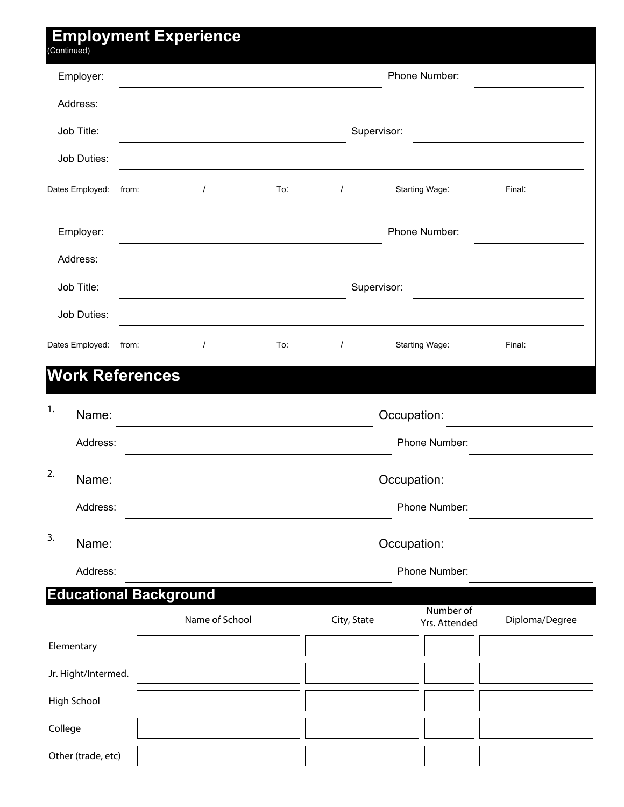| (Continued)                   |                            | <b>Employment Experience</b> |     |             |                            |                |
|-------------------------------|----------------------------|------------------------------|-----|-------------|----------------------------|----------------|
| Employer:                     |                            |                              |     |             | Phone Number:              |                |
| Address:                      |                            |                              |     |             |                            |                |
| Job Title:                    |                            |                              |     | Supervisor: |                            |                |
|                               | Job Duties:                |                              |     |             |                            |                |
| Dates Employed:               |                            | $\prime$<br>from:            | To: | $\sqrt{2}$  | Starting Wage:             | Final:         |
|                               | Employer:<br>Phone Number: |                              |     |             |                            |                |
|                               | Address:                   |                              |     |             |                            |                |
| Job Title:                    |                            | Supervisor:                  |     |             |                            |                |
|                               | Job Duties:                |                              |     |             |                            |                |
| Dates Employed:               |                            | from:                        | To: | $\prime$    | Starting Wage:             | Final:         |
|                               |                            | <b>Work References</b>       |     |             |                            |                |
| 1.                            | Name:                      |                              |     |             | Occupation:                |                |
|                               | Address:                   |                              |     |             | Phone Number:              |                |
| 2.                            | Name:                      | Occupation:                  |     |             |                            |                |
|                               | Address:                   | Phone Number:                |     |             |                            |                |
| 3.                            | Name:                      | Occupation:                  |     |             |                            |                |
|                               | Address:                   | Phone Number:                |     |             |                            |                |
| <b>Educational Background</b> |                            |                              |     |             |                            |                |
|                               |                            | Name of School               |     | City, State | Number of<br>Yrs. Attended | Diploma/Degree |
| Elementary                    |                            |                              |     |             |                            |                |
|                               | Jr. Hight/Intermed.        |                              |     |             |                            |                |
| High School                   |                            |                              |     |             |                            |                |
| College                       |                            |                              |     |             |                            |                |
|                               | Other (trade, etc)         |                              |     |             |                            |                |